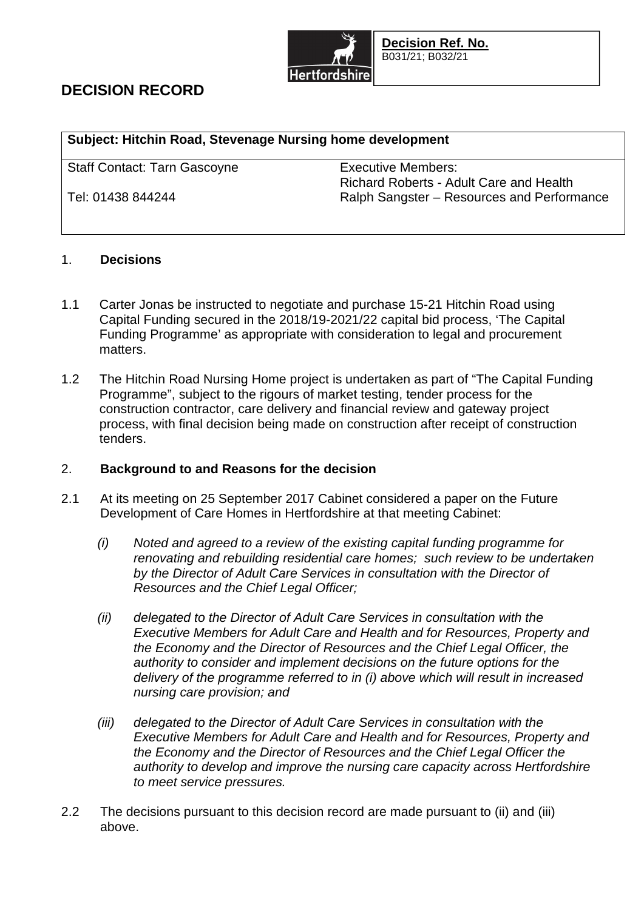

# **DECISION RECORD**

## **Subject: Hitchin Road, Stevenage Nursing home development**

Staff Contact: Tarn Gascoyne **Executive Members:** 

Richard Roberts - Adult Care and Health Tel: 01438 844244 Ralph Sangster – Resources and Performance

## 1. **Decisions**

- 1.1 Carter Jonas be instructed to negotiate and purchase 15-21 Hitchin Road using Capital Funding secured in the 2018/19-2021/22 capital bid process, 'The Capital Funding Programme' as appropriate with consideration to legal and procurement matters.
- 1.2 The Hitchin Road Nursing Home project is undertaken as part of "The Capital Funding Programme", subject to the rigours of market testing, tender process for the construction contractor, care delivery and financial review and gateway project process, with final decision being made on construction after receipt of construction tenders.

## 2. **Background to and Reasons for the decision**

- 2.1 At its meeting on 25 September 2017 Cabinet considered a paper on the Future Development of Care Homes in Hertfordshire at that meeting Cabinet:
	- *(i) Noted and agreed to a review of the existing capital funding programme for renovating and rebuilding residential care homes; such review to be undertaken by the Director of Adult Care Services in consultation with the Director of Resources and the Chief Legal Officer;*
	- *(ii) delegated to the Director of Adult Care Services in consultation with the Executive Members for Adult Care and Health and for Resources, Property and the Economy and the Director of Resources and the Chief Legal Officer, the authority to consider and implement decisions on the future options for the delivery of the programme referred to in (i) above which will result in increased nursing care provision; and*
	- *(iii) delegated to the Director of Adult Care Services in consultation with the Executive Members for Adult Care and Health and for Resources, Property and the Economy and the Director of Resources and the Chief Legal Officer the authority to develop and improve the nursing care capacity across Hertfordshire to meet service pressures.*
- 2.2 The decisions pursuant to this decision record are made pursuant to (ii) and (iii) above.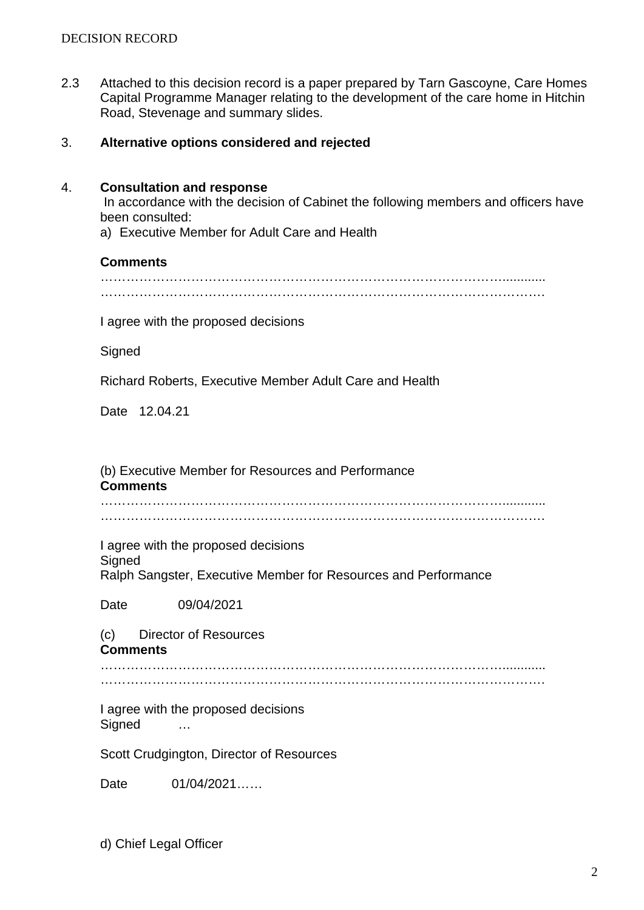2.3 Attached to this decision record is a paper prepared by Tarn Gascoyne, Care Homes Capital Programme Manager relating to the development of the care home in Hitchin Road, Stevenage and summary slides.

### 3. **Alternative options considered and rejected**

#### 4. **Consultation and response**

 In accordance with the decision of Cabinet the following members and officers have been consulted:

a) Executive Member for Adult Care and Health

#### **Comments**

…………………………………………………………………………………............ ………………………………………………………………………………………….

I agree with the proposed decisions

**Signed** 

Richard Roberts, Executive Member Adult Care and Health

Date 12.04.21

(b) Executive Member for Resources and Performance **Comments**

…………………………………………………………………………………............ ………………………………………………………………………………………….

I agree with the proposed decisions **Signed** Ralph Sangster, Executive Member for Resources and Performance

Date 09/04/2021

(c) Director of Resources **Comments**

…………………………………………………………………………………............ ………………………………………………………………………………………….

I agree with the proposed decisions Signed …

Scott Crudgington, Director of Resources

Date 01/04/2021……

d) Chief Legal Officer